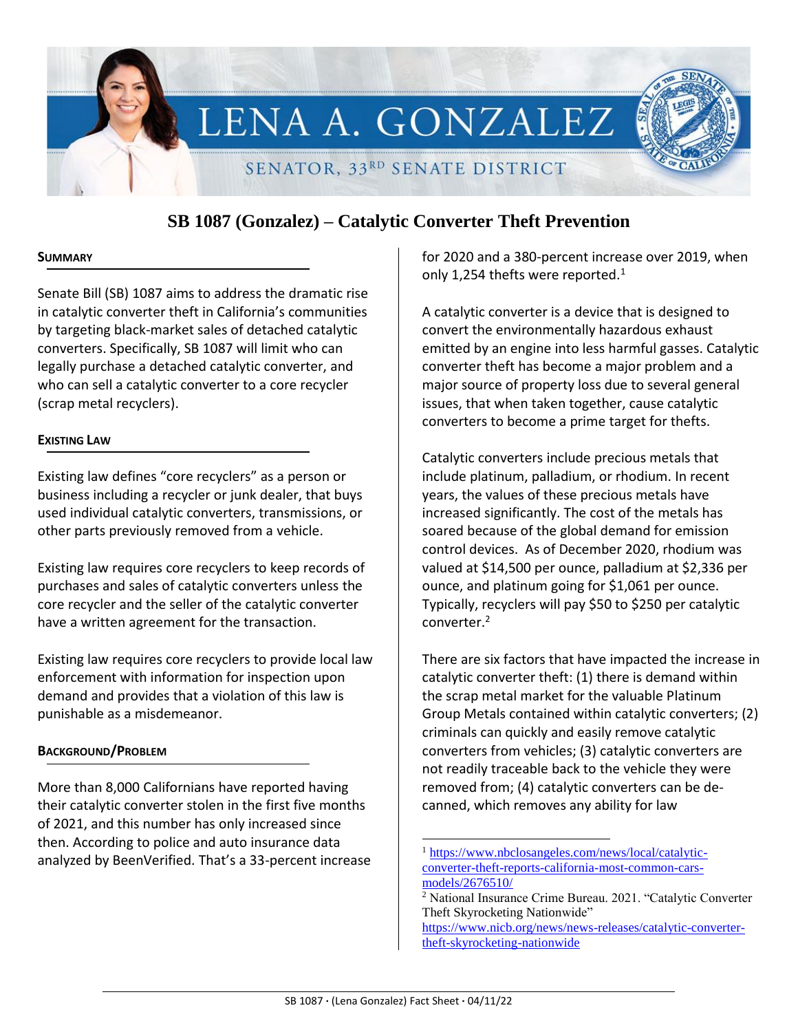

# **SB 1087 (Gonzalez) – Catalytic Converter Theft Prevention**

#### **SUMMARY**

Senate Bill (SB) 1087 aims to address the dramatic rise in catalytic converter theft in California's communities by targeting black-market sales of detached catalytic converters. Specifically, SB 1087 will limit who can legally purchase a detached catalytic converter, and who can sell a catalytic converter to a core recycler (scrap metal recyclers).

# **EXISTING LAW**

Existing law defines "core recyclers" as a person or business including a recycler or junk dealer, that buys used individual catalytic converters, transmissions, or other parts previously removed from a vehicle.

Existing law requires core recyclers to keep records of purchases and sales of catalytic converters unless the core recycler and the seller of the catalytic converter have a written agreement for the transaction.

Existing law requires core recyclers to provide local law enforcement with information for inspection upon demand and provides that a violation of this law is punishable as a misdemeanor.

# **BACKGROUND/PROBLEM**

More than 8,000 Californians have reported having their catalytic converter stolen in the first five months of 2021, and this number has only increased since then. According to police and auto insurance data analyzed by BeenVerified. That's a 33-percent increase for 2020 and a 380-percent increase over 2019, when only 1,254 thefts were reported. $1$ 

A catalytic converter is a device that is designed to convert the environmentally hazardous exhaust emitted by an engine into less harmful gasses. Catalytic converter theft has become a major problem and a major source of property loss due to several general issues, that when taken together, cause catalytic converters to become a prime target for thefts.

Catalytic converters include precious metals that include platinum, palladium, or rhodium. In recent years, the values of these precious metals have increased significantly. The cost of the metals has soared because of the global demand for emission control devices. As of December 2020, rhodium was valued at \$14,500 per ounce, palladium at \$2,336 per ounce, and platinum going for \$1,061 per ounce. Typically, recyclers will pay \$50 to \$250 per catalytic converter.<sup>2</sup>

There are six factors that have impacted the increase in catalytic converter theft: (1) there is demand within the scrap metal market for the valuable Platinum Group Metals contained within catalytic converters; (2) criminals can quickly and easily remove catalytic converters from vehicles; (3) catalytic converters are not readily traceable back to the vehicle they were removed from; (4) catalytic converters can be decanned, which removes any ability for law

[https://www.nicb.org/news/news-releases/catalytic-converter](https://www.nicb.org/news/news-releases/catalytic-converter-theft-skyrocketing-nationwide)[theft-skyrocketing-nationwide](https://www.nicb.org/news/news-releases/catalytic-converter-theft-skyrocketing-nationwide)

 $\overline{a}$ 

<sup>1</sup> [https://www.nbclosangeles.com/news/local/catalytic](https://www.nbclosangeles.com/news/local/catalytic-converter-theft-reports-california-most-common-cars-models/2676510/)[converter-theft-reports-california-most-common-cars](https://www.nbclosangeles.com/news/local/catalytic-converter-theft-reports-california-most-common-cars-models/2676510/)[models/2676510/](https://www.nbclosangeles.com/news/local/catalytic-converter-theft-reports-california-most-common-cars-models/2676510/)

<sup>2</sup> National Insurance Crime Bureau. 2021. "Catalytic Converter Theft Skyrocketing Nationwide"